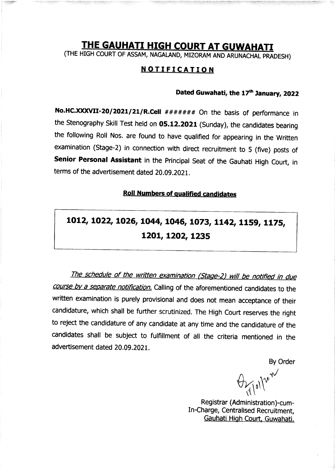# THE GAUHATI HIGH COURT AT GUWAHATI (THE HIGH COURT OF ASSAM, NAGALAND, MIZORAM AND ARUNACHAL PRADESH)

### **NOTIFICATION**

#### Dated Guwahati, the 17<sup>th</sup> January, 2022

No.HC.XXXVII-20/2021/21/R.Cell  $\# \# \# \# \# \#$  On the basis of performance in the Stenography Skill Test held on 05.12.2021 (Sunday), the candidates bearing the following Roll Nos. are found to have qualified for appearing in the Written examination (Stage-2) in connection with direct recruitment to 5 (five) posts of Senior Personal Assistant in the Principal Seat of the Gauhati High Court, in terms of the advertisement dated Z0.Og.2O2t.

#### **Roll Numbers of qualified candidates**

## 1012, 1022, 1026, 1044, 1046, 1073, 1142, 1159, 1175, 1201, 1202, 1235

The schedule of the written examination (Stage-2) will be notified in due course by a separate notification. Calling of the aforementioned candidates to the written examination is purely provisional and does not mean acceptance of their candidature, which shall be further scrutinized. The High Court reserves the right to reject the candidature of any candidate at any time and the candidature of the candidates shall be subject to fulfillment of all the criteria mentioned in the adveftisement dated 20.09.202L.

By Order

 $\rightsquigarrow$ 0 \  $\bigwedge_{\Lambda_\alpha}$  $\prime$ 

Registrar (Administration)-cum-In-Charge, Centralised Recruitment, Gauhati High Court, Guwahati.